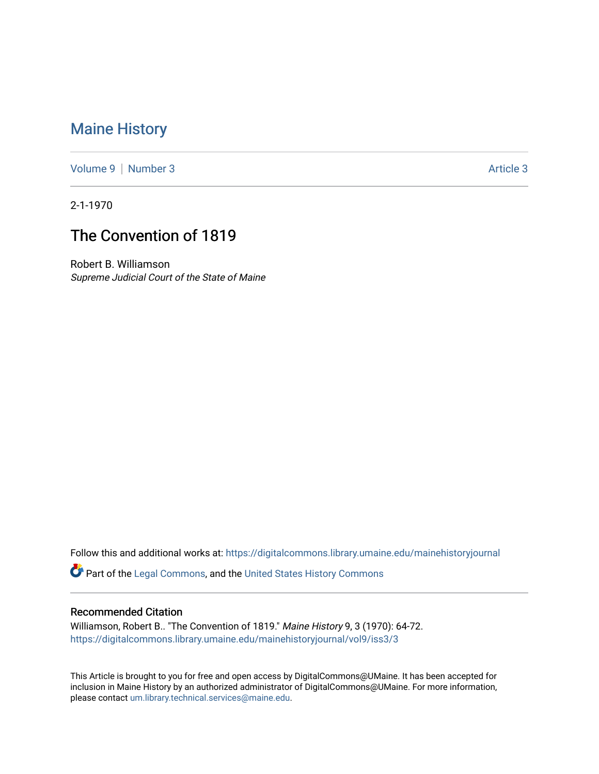## [Maine History](https://digitalcommons.library.umaine.edu/mainehistoryjournal)

[Volume 9](https://digitalcommons.library.umaine.edu/mainehistoryjournal/vol9) | [Number 3](https://digitalcommons.library.umaine.edu/mainehistoryjournal/vol9/iss3) Article 3

2-1-1970

# The Convention of 1819

Robert B. Williamson Supreme Judicial Court of the State of Maine

Follow this and additional works at: [https://digitalcommons.library.umaine.edu/mainehistoryjournal](https://digitalcommons.library.umaine.edu/mainehistoryjournal?utm_source=digitalcommons.library.umaine.edu%2Fmainehistoryjournal%2Fvol9%2Fiss3%2F3&utm_medium=PDF&utm_campaign=PDFCoverPages) 

Part of the [Legal Commons,](http://network.bepress.com/hgg/discipline/502?utm_source=digitalcommons.library.umaine.edu%2Fmainehistoryjournal%2Fvol9%2Fiss3%2F3&utm_medium=PDF&utm_campaign=PDFCoverPages) and the [United States History Commons](http://network.bepress.com/hgg/discipline/495?utm_source=digitalcommons.library.umaine.edu%2Fmainehistoryjournal%2Fvol9%2Fiss3%2F3&utm_medium=PDF&utm_campaign=PDFCoverPages)

#### Recommended Citation

Williamson, Robert B.. "The Convention of 1819." Maine History 9, 3 (1970): 64-72. [https://digitalcommons.library.umaine.edu/mainehistoryjournal/vol9/iss3/3](https://digitalcommons.library.umaine.edu/mainehistoryjournal/vol9/iss3/3?utm_source=digitalcommons.library.umaine.edu%2Fmainehistoryjournal%2Fvol9%2Fiss3%2F3&utm_medium=PDF&utm_campaign=PDFCoverPages)

This Article is brought to you for free and open access by DigitalCommons@UMaine. It has been accepted for inclusion in Maine History by an authorized administrator of DigitalCommons@UMaine. For more information, please contact [um.library.technical.services@maine.edu.](mailto:um.library.technical.services@maine.edu)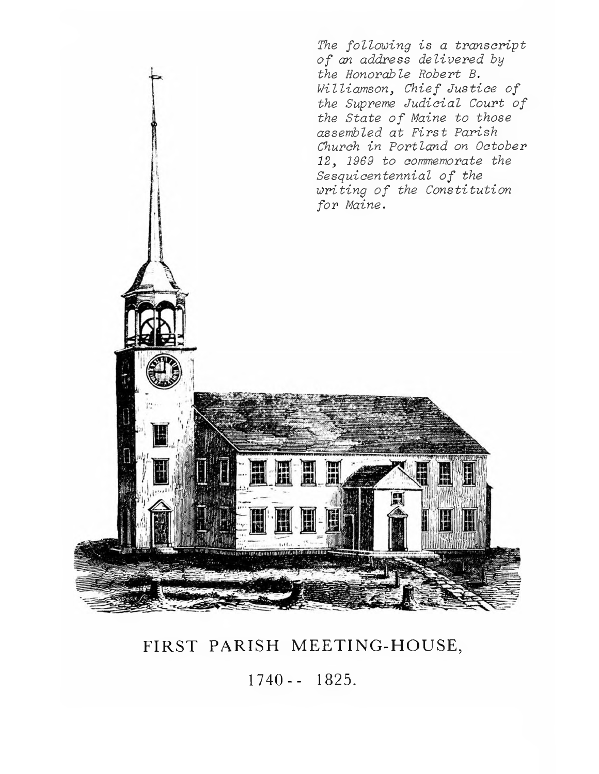

FIRST PARISH MEETING-HOUSE,

1740 - - 1825.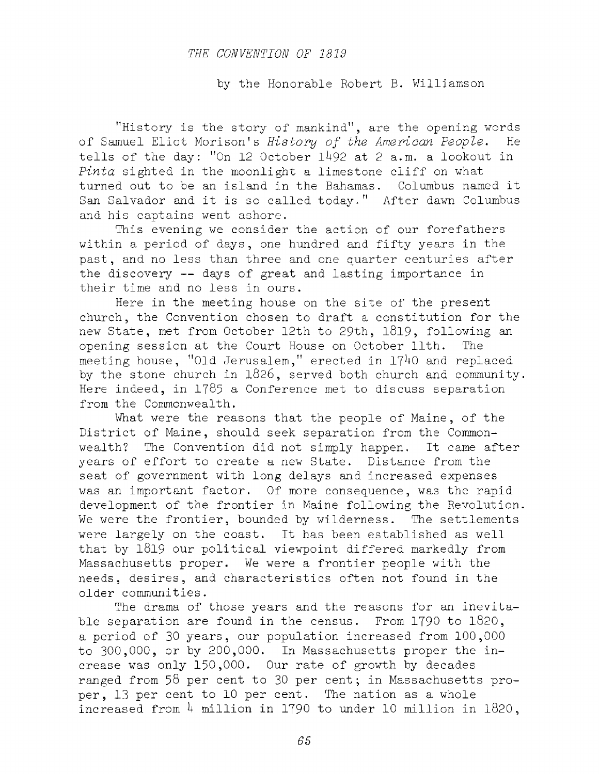#### *THE CONVENTION OF 1819*

by the Honorable Robert B. Williamson

"History is the story of mankind", are the opening words of Samuel Eliot Morison's *History of the American People*. He tells of the day: "On 12 October 1492 at 2 a.m. a lookout in *Pinta* sighted in the moonlight a limestone cliff on what turned out to be an island in the Bahamas. Columbus named it San Salvador and it is so called today." After dawn Columbus and his captains went ashore.

This evening we consider the action of our forefathers within a period of days, one hundred and fifty years in the past, and no less than three and one quarter centuries after the discovery  $--$  days of great and lasting importance in their time and no less in ours.

Here in the meeting house on the site of the present church, the Convention chosen to draft a constitution for the new State, met from October 12th to 29th, 1819, following an opening session at the Court House on October 11th. The meeting house, "Old Jerusalem," erected in 1740 and replaced by the stone church in 1826, served both church and community. Here indeed, in 1785 a Conference met to discuss separation from the Commonwealth.

What were the reasons that the people of Maine, of the District of Maine, should seek separation from the Commonwealth? The Convention did not simply happen. It came after years of effort to create a new State. Distance from the seat of government with long delays and increased expenses was an important factor. Of more consequence, was the rapid development of the frontier in Maine following the Revolution. We were the frontier, bounded by wilderness. The settlements were largely on the coast. It has been established as well that by  $1819$  our political viewpoint differed markedly from Massachusetts proper. We were a frontier people with the needs, desires, and characteristics often not found in the older communities.

The drama of those years and the reasons for an inevitable separation are found in the census. From 1790 to 1820, a period of 30 years, our population increased from 100,000 to 300,000, or by 200,000. In Massachusetts proper the increase was only 150,000. Our rate of growth by decades ranged from 58 per cent to 30 per cent; in Massachusetts proper, 13 per cent to 10 per cent. The nation as a whole increased from  $4$  million in 1790 to under 10 million in 1820,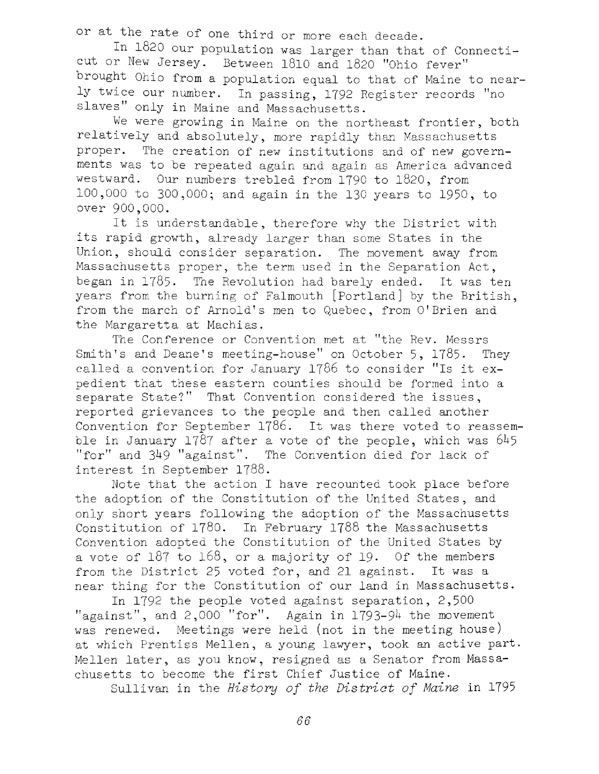or at the rate of one third or more each decade.

In 1820 our population was larger than that of Connecticut or New Jersey. Between 1810 and 1820 "Ohio fever" brought Ohio from a population equal to that of Maine to nearly twice our number. In passing, 1792 Register records "no slaves" only in Maine and Massachusetts.

We were growing in Maine on the northeast frontier, both relatively and absolutely, more rapidly than Massachusetts proper. The creation of new institutions and of new governments was to be repeated again and again as America advanced westward. Our numbers trebled from 1790 to 1820, from 100,000 to 300,000; and again in the 130 years to 1950, to over 900,000.

It is understandable, therefore why the District with its rapid growth, already larger than some States in the Union, should consider separation. The movement away from Massachusetts proper, the term used in the Separation Act, began in  $1785$ . The Revolution had barely ended. It was ten years from the burning of Falmouth [Portland] by the British, from the march of Arnold's men to Quebec, from O'Brien and the Margaretta at Machias.

The Conference or Convention met at "the Rev. Messrs Smith's and Deane's meeting-house" on October 5, 1785. They called a convention for January 1786 to consider "Is it expedient that these eastern counties should be formed into a separate State?" That Convention considered the issues, reported grievances to the people and then called another Convention for September 1786. It was there voted to reassemble in January 1787 after a vote of the people, which was  $645$ " for" and 349 " against". The Convention died for lack of interest in September 1788.

Note that the action I have recounted took place before the adoption of the Constitution of the United States, and only short years following the adoption of the Massachusetts Constitution of  $1780$ . In February 1788 the Massachusetts Convention adopted the Constitution of the United States by a vote of  $187$  to  $168$ , or a majority of 19. Of the members from the District 25 voted for, and 21 against. It was a near thing for the Constitution of our land in Massachusetts.

In 1792 the people voted against separation, 2,500 "against", and  $2,000$  "for". Again in 1793-94 the movement was renewed. Meetings were held (not in the meeting house) at which Prentiss Mellen, a young lawyer, took an active part. Mellen later, as you know, resigned as a Senator from Massachusetts to become the first Chief Justice of Maine.

Sullivan in the *History of the District of Maine* in 1795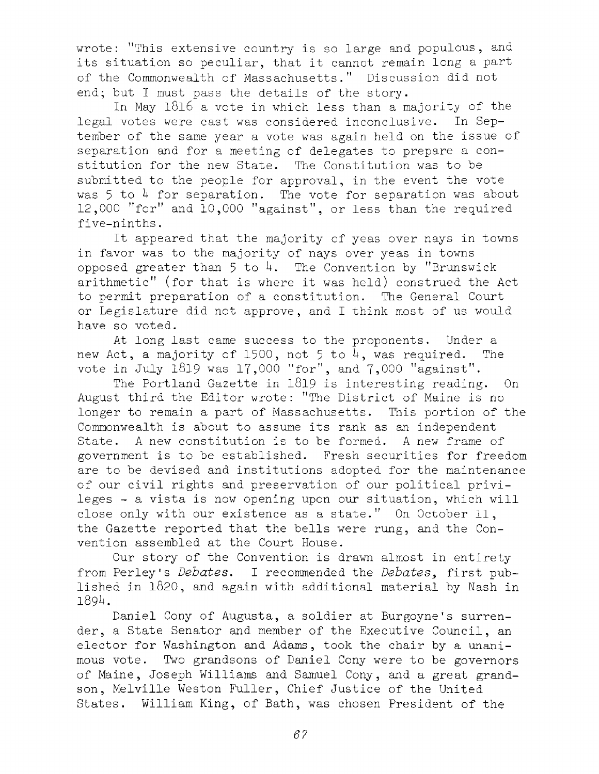wrote: "This extensive country is so large and populous, and its situation so peculiar, that it cannot remain long a part of the Commonwealth of Massachusetts." Discussion did not end; but I must pass the details of the story.

In May  $1816$  a vote in which less than a majority of the legal votes were cast was considered inconclusive. In September of the same year a vote was again held on the issue of separation and for a meeting of delegates to prepare a constitution for the new State. The Constitution was to be submitted to the people for approval, in the event the vote was 5 to 4 for separation. The vote for separation was about 12,000 "for" and 10,000 "against", or less than the required five-ninths.

It appeared that the majority of yeas over nays in towns in favor was to the majority of nays over yeas in towns opposed greater than 5 to 4. The Convention by "Brunswick arithmetic" (for that is where it was held) construed the Act to permit preparation of a constitution. The General Court or Legislature did not approve, and I think most of us would have so voted.

At long last came success to the proponents. Under a new Act, a majority of 1500, not 5 to  $4$ , was required. The vote in July 1819 was 17,000 "for", and  $7,000$  "against".

The Portland Gazette in 1819 is interesting reading. On August third the Editor wrote: "The District of Maine is no longer to remain a part of Massachusetts. This portion of the Commonwealth is about to assume its rank as an independent State. A new constitution is to be formed. A new frame of government is to be established. Fresh securities for freedom are to be devised and institutions adopted for the maintenance of our civil rights and preservation of our political privileges  $-$  a vista is now opening upon our situation, which will close only with our existence as a state." On October 11, the Gazette reported that the bells were rung, and the Convention assembled at the Court House.

Our story of the Convention is drawn almost in entirety from Perley's *Debates*. I recommended the *Debates*, first published in 1820, and again with additional material by Nash in 1894.

Daniel Cony of Augusta, a soldier at Burgoyne's surrender, a State Senator and member of the Executive Council, an elector for Washington and Adams, took the chair by a unanimous vote. Two grandsons of Daniel Cony were to be governors of Maine, Joseph Williams and Samuel Cony, and a great grandson, Melville Weston Fuller, Chief Justice of the United States. William King, of Bath, was chosen President of the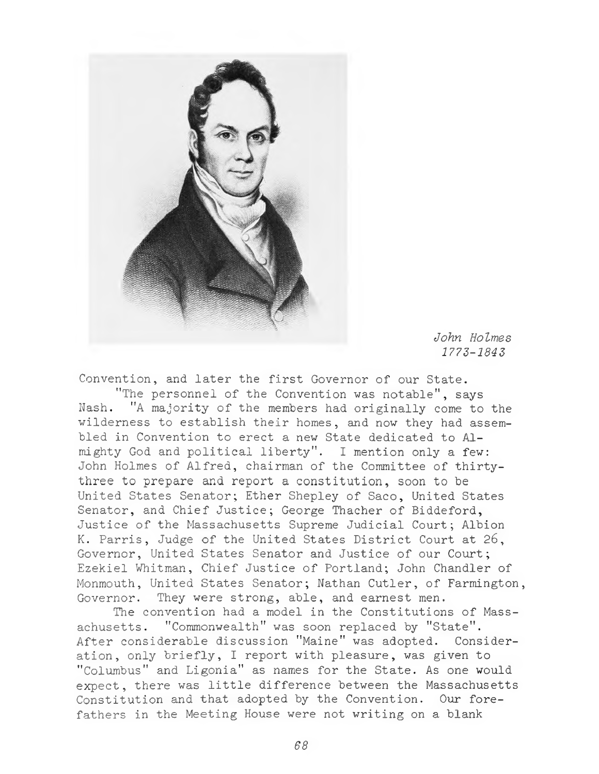

*John Holmes 1773-1843*

Convention, and later the first Governor of our State.

"The personnel of the Convention was notable", says Nash. "A majority of the members had originally come to the wilderness to establish their homes, and now they had assembled in Convention to erect a new State dedicated to Almighty God and political liberty". I mention only a few: John Holmes of Alfred, chairman of the Committee of thirtythree to prepare and report a constitution, soon to be United States Senator; Ether Shepley of Saco, United States Senator, and Chief Justice; George Thacher of Biddeford, Justice of the Massachusetts Supreme Judicial Court; Albion K. Parris, Judge of the United States District Court at 26, Governor, United States Senator and Justice of our Court; Ezekiel Whitman, Chief Justice of Portland; John Chandler of Monmouth, United States Senator; Nathan Cutler, of Farmington, Governor. They were strong, able, and earnest men.

The convention had a model in the Constitutions of Massachusetts. "Commonwealth" was soon replaced by "State". After considerable discussion "Maine" was adopted. Consideration, only briefly, I report with pleasure, was given to "Columbus" and Ligonia" as names for the State. As one would expect, there was little difference between the Massachusetts Constitution and that adopted by the Convention. Our forefathers in the Meeting House were not writing on a blank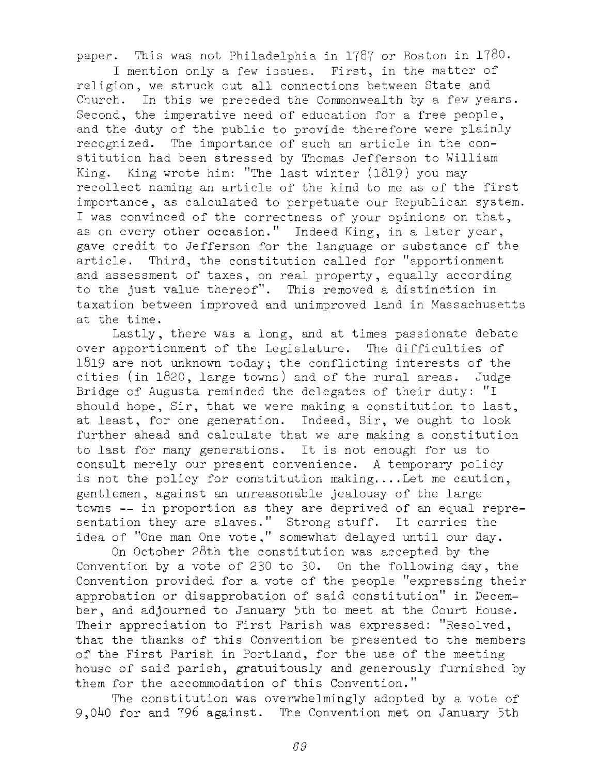paper. This was not Philadelphia in 1787 or Boston in 1780.

I mention only a few issues. First, in the matter of religion, we struck out all connections between State and Church. In this we preceded the Commonwealth by a few years. Second, the imperative need of education for a free people, and the duty of the public to provide therefore were plainly recognized. The importance of such an article in the constitution had been stressed by Thomas Jefferson to William King. King wrote him: "The last winter  $(1819)$  you may recollect naming an article of the kind to me as of the first importance, as calculated to perpetuate our Republican system. I was convinced of the correctness of your opinions on that, as on every other occasion." Indeed King, in a later year, gave credit to Jefferson for the language or substance of the article. Third, the constitution called for "apportionment and assessment of taxes, on real property, equally according to the just value thereof". This removed a distinction in taxation between improved and unimproved land in Massachusetts at the time.

Lastly, there was a long, and at times passionate debate over apportionment of the Legislature. The difficulties of 1819 are not unknown today; the conflicting interests of the cities (in 1820, large towns) and of the rural areas. Judge Bridge of Augusta reminded the delegates of their duty: "I should hope, Sir, that we were making a constitution to last, at least, for one generation. Indeed, Sir, we ought to look further ahead and calculate that we are making a constitution to last for many generations. It is not enough for us to consult merely our present convenience. A temporary policy is not the policy for constitution making.... Let me caution, gentlemen, against an unreasonable jealousy of the large towns -- in proportion as they are deprived of an equal representation they are slaves." Strong stuff. It carries the idea of "One man One vote," somewhat delayed until our day.

On October 28th the constitution was accepted by the Convention by a vote of 230 to 30. On the following day, the Convention provided for a vote of the people "expressing their approbation or disapprobation of said constitution" in December, and adjourned to January 5th to meet at the Court House. Their appreciation to First Parish was expressed: "Resolved, that the thanks of this Convention be presented to the members of the First Parish in Portland, for the use of the meeting house of said parish, gratuitously and generously furnished by them for the accommodation of this Convention."

The constitution was overwhelmingly adopted by a vote of 9,040 for and 796 against. The Convention met on January 5th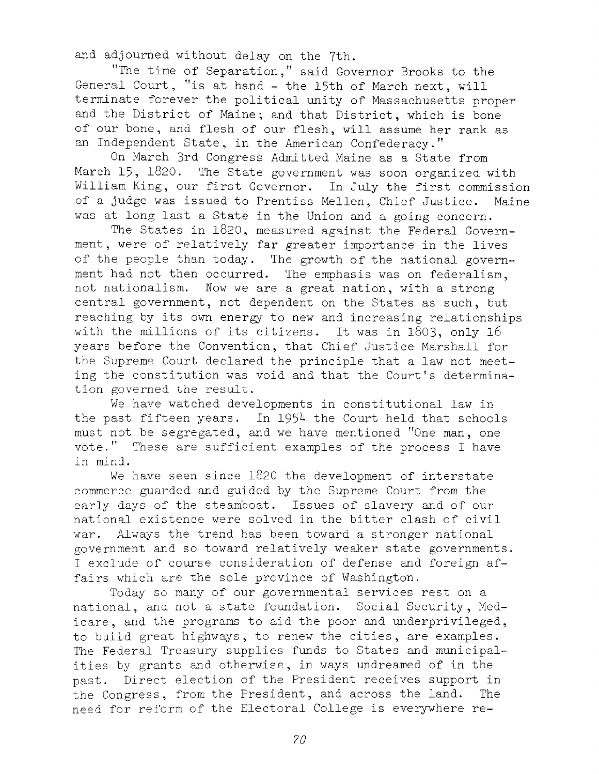and adjourned without delay on the 7th,

"The time of Separation," said Governor Brooks to the General Court, "is at hand - the 15th of March next, will terminate forever the political unity of Massachusetts proper and the District of Maine; and that District, which is bone of our bone, and flesh of our flesh, will assume her rank as an Independent State, in the American Confederacy."

On March 3rd Congress Admitted Maine as a State from March 15, 1820. The State government was soon organized with William King, our first Governor. In July the first commission of a judge was issued to Prentiss Mellen, Chief Justice. Maine was at long last a State in the Union and a going concern.

The States in 1820, measured against the Federal Government, were of relatively far greater importance in the lives of the people than today. The growth of the national government had not then occurred. The emphasis was on federalism, not nationalism. Now we are a great nation, with a strong central government, not dependent on the States as such, but reaching by its own energy to new and increasing relationships with the millions of its citizens. It was in 1803, only 16 years before the Convention, that Chief Justice Marshall for the Supreme Court declared the principle that a law not meeting the constitution was void and that the Court's determination governed the result.

We have watched developments in constitutional law in the past fifteen years. In 1954 the Court held that schools must not be segregated, and we have mentioned "One man, one vote." These are sufficient examples of the process I have in mind.

We have seen since  $1820$  the development of interstate commerce guarded and guided hy the Supreme Court from the early days of the steamboat. Issues of slavery and of our national existence were solved in the bitter clash of civil war. Always the trend has been toward a stronger national government and so toward relatively weaker state governments. I exclude of course consideration of defense and foreign affairs which are the sole province of Washington.

Today so many of our governmental services rest on a national, and not a state foundation. Social Security, Medicare, and the programs to aid the poor and underprivileged, to build great highways, to renew the cities, are examples. The Federal Treasury supplies funds to States and municipalities by grants and otherwise, in ways undreamed of in the past. Direct election of the President receives support in the Congress, from the President, and across the land. The need for reform of the Electoral College is everywhere re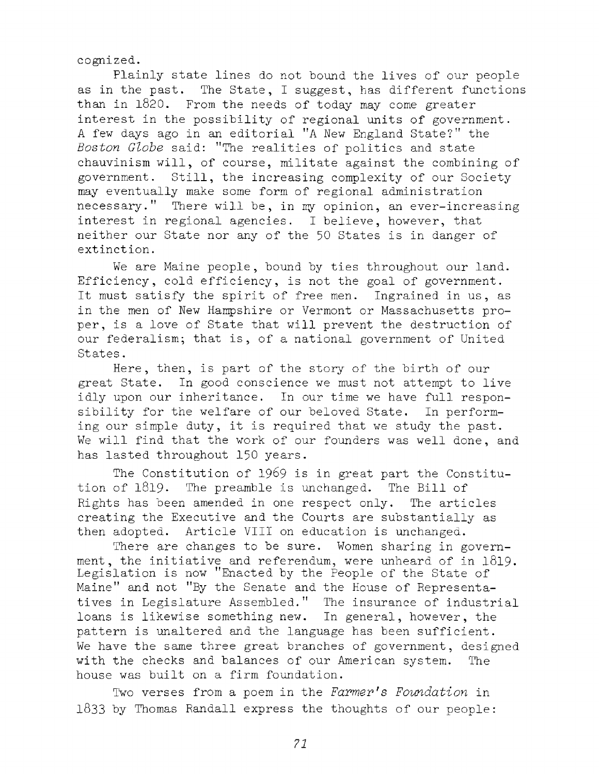cognized.

Plainly state lines do not bound the lives of our people as in the past. The State, I suggest, has different functions than in  $1820$ . From the needs of today may come greater interest in the possibility of regional units of government. A few days ago in an editorial "A New England State?" the Boston Globe said: "The realities of politics and state chauvinism will, of course, militate against the combining of government. Still, the increasing complexity of our Society may eventually make some form of regional administration necessary." There will be, in my opinion, an ever-increasing interest in regional agencies. I believe, however, that neither our State nor any of the 50 States is in danger of extinction.

We are Maine people, bound by ties throughout our land. Efficiency, cold efficiency, is not the goal of government. It must satisfy the spirit of free men. Ingrained in us, as in the men of New Hampshire or Vermont or Massachusetts proper, is a love of State that will prevent the destruction of our federalism; that is, of a national government of United States.

Here, then, is part of the story of the birth of our great State. In good conscience we must not attempt to live idly upon our inheritance. In our time we have full responsibility for the welfare of our beloved State. In performing our simple duty, it is required that we study the past. We will find that the work of our founders was well done, and has lasted throughout 150 years.

The Constitution of 1969 is in great part the Constitution of  $1819$ . The preamble is unchanged. The Bill of Rights has been amended in one respect only. The articles creating the Executive and the Courts are substantially as then adopted. Article VIII on education is unchanged.

There are changes to be sure. Women sharing in government, the initiative and referendum, were unheard of in 1819. Legislation is now "Enacted by the People of the State of Maine" and not "By the Senate and the House of Representatives in Legislature Assembled." The insurance of industrial loans is likewise something new. In general, however, the pattern is unaltered and the language has been sufficient. We have the same three great branches of government, designed with the checks and balances of our American system. The house was built on a firm foundation.

Two verses from a poem in the *Farmer's Foundation* in  $1833$  by Thomas Randall express the thoughts of our people: